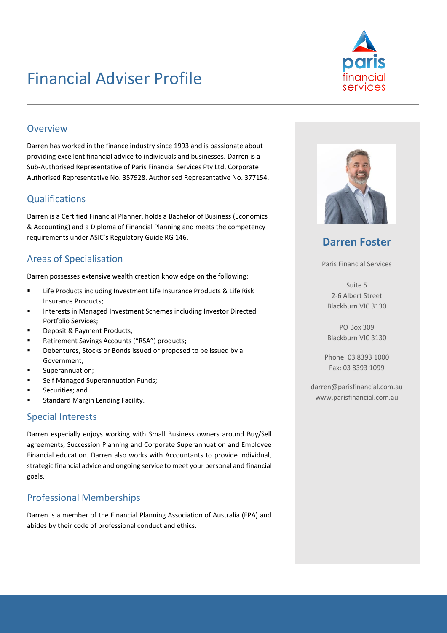## Financial Adviser Profile



#### Overview

Darren has worked in the finance industry since 1993 and is passionate about providing excellent financial advice to individuals and businesses. Darren is a Sub-Authorised Representative of Paris Financial Services Pty Ltd, Corporate Authorised Representative No. 357928. Authorised Representative No. 377154.

## **Qualifications**

Darren is a Certified Financial Planner, holds a Bachelor of Business (Economics & Accounting) and a Diploma of Financial Planning and meets the competency requirements under ASIC's Regulatory Guide RG 146.

## Areas of Specialisation

Darren possesses extensive wealth creation knowledge on the following:

- Life Products including Investment Life Insurance Products & Life Risk Insurance Products;
- Interests in Managed Investment Schemes including Investor Directed Portfolio Services;
- Deposit & Payment Products;
- Retirement Savings Accounts ("RSA") products;
- Debentures, Stocks or Bonds issued or proposed to be issued by a Government;
- Superannuation;
- Self Managed Superannuation Funds;
- Securities; and
- Standard Margin Lending Facility.

### Special Interests

Darren especially enjoys working with Small Business owners around Buy/Sell agreements, Succession Planning and Corporate Superannuation and Employee Financial education. Darren also works with Accountants to provide individual, strategic financial advice and ongoing service to meet your personal and financial goals.

## Professional Memberships

Darren is a member of the Financial Planning Association of Australia (FPA) and abides by their code of professional conduct and ethics.



## **Darren Foster**

Paris Financial Services

Suite 5 2-6 Albert Street Blackburn VIC 3130

PO Box 309 Blackburn VIC 3130

Phone: 03 8393 1000 Fax: 03 8393 1099

darren@parisfinancial.com.au www.parisfinancial.com.au